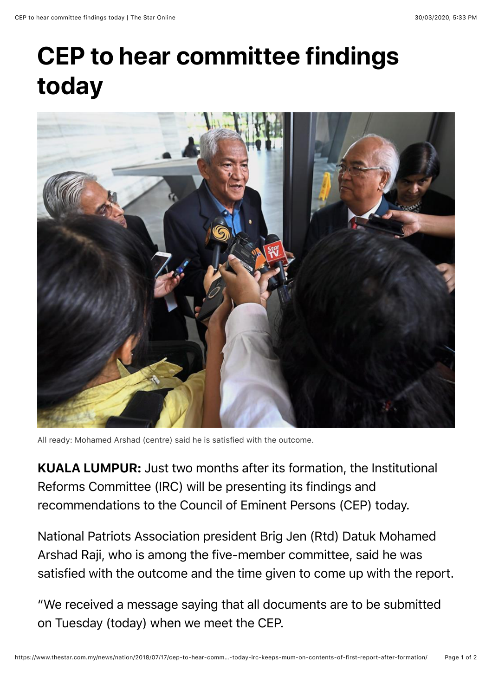## **CEP to hear committee findings today**



All ready: Mohamed Arshad (centre) said he is satisfied with the outcome.

KUALA LUMPUR: Just two months after its formation, the Institutional Reforms Committee (IRC) will be presenting its findings and recommendations to the Council of Eminent Persons (CEP) today.

National Patriots Association president Brig Jen (Rtd) Datuk Mohamed Arshad Raji, who is among the five-member committee, said he was satisfied with the outcome and the time given to come up with the report.

"We received a message saying that all documents are to be submitted on Tuesday (today) when we meet the CEP.